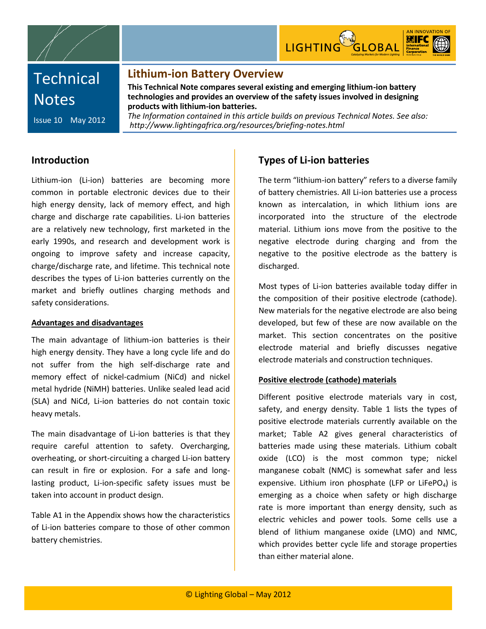



# **Technical Notes**

Issue 10 May 2012

### **Lithium-ion Battery Overview**

**This Technical Note compares several existing and emerging lithium-ion battery technologies and provides an overview of the safety issues involved in designing products with lithium-ion batteries.**

*The Information contained in this article builds on previous Technical Notes. See also: http://www.lightingafrica.org/resources/briefing-notes.html*

### **Introduction**

Lithium-ion (Li-ion) batteries are becoming more common in portable electronic devices due to their high energy density, lack of memory effect, and high charge and discharge rate capabilities. Li-ion batteries are a relatively new technology, first marketed in the early 1990s, and research and development work is ongoing to improve safety and increase capacity, charge/discharge rate, and lifetime. This technical note describes the types of Li-ion batteries currently on the market and briefly outlines charging methods and safety considerations.

#### **Advantages and disadvantages**

The main advantage of lithium-ion batteries is their high energy density. They have a long cycle life and do not suffer from the high self-discharge rate and memory effect of nickel-cadmium (NiCd) and nickel metal hydride (NiMH) batteries. Unlike sealed lead acid (SLA) and NiCd, Li-ion batteries do not contain toxic heavy metals.

The main disadvantage of Li-ion batteries is that they require careful attention to safety. Overcharging, overheating, or short-circuiting a charged Li-ion battery can result in fire or explosion. For a safe and longlasting product, Li-ion-specific safety issues must be taken into account in product design.

Table A1 in the Appendix shows how the characteristics of Li-ion batteries compare to those of other common battery chemistries.

# **Types of Li-ion batteries**

The term "lithium-ion battery" refers to a diverse family of battery chemistries. All Li-ion batteries use a process known as intercalation, in which lithium ions are incorporated into the structure of the electrode material. Lithium ions move from the positive to the negative electrode during charging and from the negative to the positive electrode as the battery is discharged.

Most types of Li-ion batteries available today differ in the composition of their positive electrode (cathode). New materials for the negative electrode are also being developed, but few of these are now available on the market. This section concentrates on the positive electrode material and briefly discusses negative electrode materials and construction techniques.

#### **Positive electrode (cathode) materials**

Different positive electrode materials vary in cost, safety, and energy density. Table 1 lists the types of positive electrode materials currently available on the market; Table A2 gives general characteristics of batteries made using these materials. Lithium cobalt oxide (LCO) is the most common type; nickel manganese cobalt (NMC) is somewhat safer and less expensive. Lithium iron phosphate (LFP or LiFePO<sub>4</sub>) is emerging as a choice when safety or high discharge rate is more important than energy density, such as electric vehicles and power tools. Some cells use a blend of lithium manganese oxide (LMO) and NMC, which provides better cycle life and storage properties than either material alone.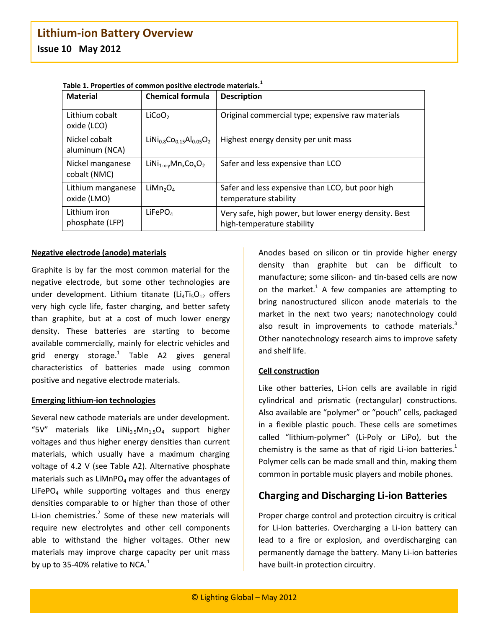| <b>Material</b>                  | <b>Chemical formula</b>                                              | <b>Description</b>                                                                  |
|----------------------------------|----------------------------------------------------------------------|-------------------------------------------------------------------------------------|
| Lithium cobalt<br>oxide (LCO)    | LiCoO <sub>2</sub>                                                   | Original commercial type; expensive raw materials                                   |
| Nickel cobalt<br>aluminum (NCA)  | $LiNi0.8CO0.15Al0.05O2$                                              | Highest energy density per unit mass                                                |
| Nickel manganese<br>cobalt (NMC) | LiNi <sub>1-x-v</sub> Mn <sub>x</sub> Co <sub>v</sub> O <sub>2</sub> | Safer and less expensive than LCO                                                   |
| Lithium manganese<br>oxide (LMO) | LiMn <sub>2</sub> O <sub>4</sub>                                     | Safer and less expensive than LCO, but poor high<br>temperature stability           |
| Lithium iron<br>phosphate (LFP)  | LiFePO <sub>4</sub>                                                  | Very safe, high power, but lower energy density. Best<br>high-temperature stability |

**Table 1. Properties of common positive electrode materials.<sup>1</sup>**

#### **Negative electrode (anode) materials**

Graphite is by far the most common material for the negative electrode, but some other technologies are under development. Lithium titanate (Li<sub>4</sub>Ti<sub>5</sub>O<sub>12</sub> offers very high cycle life, faster charging, and better safety than graphite, but at a cost of much lower energy density. These batteries are starting to become available commercially, mainly for electric vehicles and grid energy storage. 1 Table A2 gives general characteristics of batteries made using common positive and negative electrode materials.

#### **Emerging lithium-ion technologies**

Several new cathode materials are under development. "5V" materials like LiNi<sub>0.5</sub>Mn<sub>1.5</sub>O<sub>4</sub> support higher voltages and thus higher energy densities than current materials, which usually have a maximum charging voltage of 4.2 V (see Table A2). Alternative phosphate materials such as  $LiMnPO<sub>4</sub>$  may offer the advantages of LiFePO<sub>4</sub> while supporting voltages and thus energy densities comparable to or higher than those of other Li-ion chemistries.<sup>2</sup> Some of these new materials will require new electrolytes and other cell components able to withstand the higher voltages. Other new materials may improve charge capacity per unit mass by up to 35-40% relative to NCA. $^1$ 

Anodes based on silicon or tin provide higher energy density than graphite but can be difficult to manufacture; some silicon- and tin-based cells are now on the market.<sup>1</sup> A few companies are attempting to bring nanostructured silicon anode materials to the market in the next two years; nanotechnology could also result in improvements to cathode materials.<sup>3</sup> Other nanotechnology research aims to improve safety and shelf life.

#### **Cell construction**

Like other batteries, Li-ion cells are available in rigid cylindrical and prismatic (rectangular) constructions. Also available are "polymer" or "pouch" cells, packaged in a flexible plastic pouch. These cells are sometimes called "lithium-polymer" (Li-Poly or LiPo), but the chemistry is the same as that of rigid Li-ion batteries.<sup>1</sup> Polymer cells can be made small and thin, making them common in portable music players and mobile phones.

### **Charging and Discharging Li-ion Batteries**

Proper charge control and protection circuitry is critical for Li-ion batteries. Overcharging a Li-ion battery can lead to a fire or explosion, and overdischarging can permanently damage the battery. Many Li-ion batteries have built-in protection circuitry.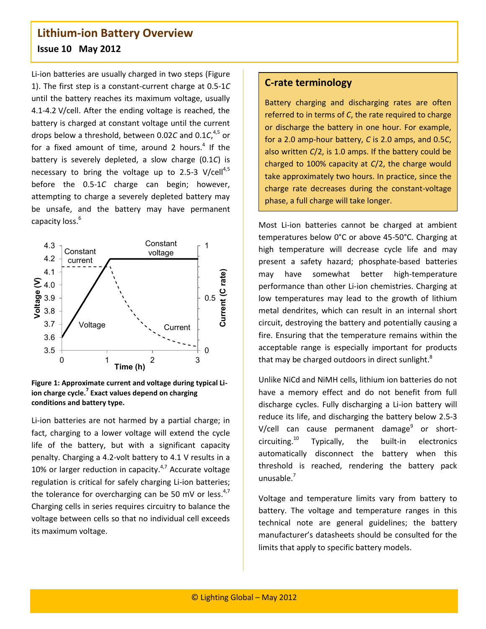Li-ion batteries are usually charged in two steps (Figure 1). The first step is a constant-current charge at 0.5-1*C* until the battery reaches its maximum voltage, usually 4.1-4.2 V/cell. After the ending voltage is reached, the battery is charged at constant voltage until the current drops below a threshold, between 0.02*C* and 0.1*C*, 4,5 or for a fixed amount of time, around 2 hours.<sup>4</sup> If the battery is severely depleted, a slow charge (0.1*C*) is necessary to bring the voltage up to 2.5-3  $V/cell^{4,5}$ before the 0.5-1*C* charge can begin; however, attempting to charge a severely depleted battery may be unsafe, and the battery may have permanent capacity loss. 6





Li-ion batteries are not harmed by a partial charge; in fact, charging to a lower voltage will extend the cycle life of the battery, but with a significant capacity penalty. Charging a 4.2-volt battery to 4.1 V results in a 10% or larger reduction in capacity.<sup>4,7</sup> Accurate voltage regulation is critical for safely charging Li-ion batteries; the tolerance for overcharging can be 50 mV or less.<sup>4,7</sup> Charging cells in series requires circuitry to balance the voltage between cells so that no individual cell exceeds its maximum voltage.

### **C-rate terminology**

Battery charging and discharging rates are often referred to in terms of *C*, the rate required to charge or discharge the battery in one hour. For example, for a 2.0 amp-hour battery, *C* is 2.0 amps, and 0.5*C*, also written *C*/2, is 1.0 amps. If the battery could be charged to 100% capacity at *C*/2, the charge would take approximately two hours. In practice, since the charge rate decreases during the constant-voltage phase, a full charge will take longer.

Most Li-ion batteries cannot be charged at ambient temperatures below 0°C or above 45-50°C. Charging at high temperature will decrease cycle life and may present a safety hazard; phosphate-based batteries may have somewhat better high-temperature performance than other Li-ion chemistries. Charging at low temperatures may lead to the growth of lithium metal dendrites, which can result in an internal short circuit, destroying the battery and potentially causing a fire. Ensuring that the temperature remains within the acceptable range is especially important for products that may be charged outdoors in direct sunlight.<sup>8</sup>

Unlike NiCd and NiMH cells, lithium ion batteries do not have a memory effect and do not benefit from full discharge cycles. Fully discharging a Li-ion battery will reduce its life, and discharging the battery below 2.5-3 V/cell can cause permanent damage<sup>9</sup> or shortcircuiting. Typically, the built-in electronics automatically disconnect the battery when this threshold is reached, rendering the battery pack unusable. 7

Voltage and temperature limits vary from battery to battery. The voltage and temperature ranges in this technical note are general guidelines; the battery manufacturer's datasheets should be consulted for the limits that apply to specific battery models.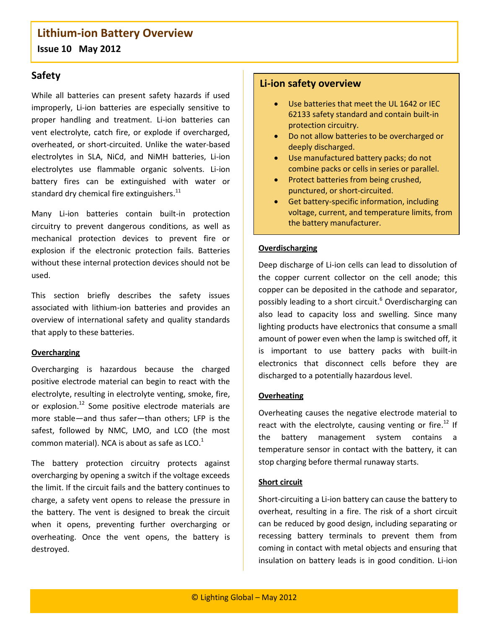# **Lithium-ion Battery Overview**

**Issue 10 May 2012**

### **Safety**

While all batteries can present safety hazards if used improperly, Li-ion batteries are especially sensitive to proper handling and treatment. Li-ion batteries can vent electrolyte, catch fire, or explode if overcharged, overheated, or short-circuited. Unlike the water-based electrolytes in SLA, NiCd, and NiMH batteries, Li-ion electrolytes use flammable organic solvents. Li-ion battery fires can be extinguished with water or standard dry chemical fire extinguishers.<sup>11</sup>

Many Li-ion batteries contain built-in protection circuitry to prevent dangerous conditions, as well as mechanical protection devices to prevent fire or explosion if the electronic protection fails. Batteries without these internal protection devices should not be used.

This section briefly describes the safety issues associated with lithium-ion batteries and provides an overview of international safety and quality standards that apply to these batteries.

#### **Overcharging**

Overcharging is hazardous because the charged positive electrode material can begin to react with the electrolyte, resulting in electrolyte venting, smoke, fire, or explosion.<sup>12</sup> Some positive electrode materials are more stable—and thus safer—than others; LFP is the safest, followed by NMC, LMO, and LCO (the most common material). NCA is about as safe as LCO.<sup>1</sup>

The battery protection circuitry protects against overcharging by opening a switch if the voltage exceeds the limit. If the circuit fails and the battery continues to charge, a safety vent opens to release the pressure in the battery. The vent is designed to break the circuit when it opens, preventing further overcharging or overheating. Once the vent opens, the battery is destroyed.

### **Li-ion safety overview**

- Use batteries that meet the UL 1642 or IEC 62133 safety standard and contain built-in protection circuitry.
- Do not allow batteries to be overcharged or deeply discharged.
- Use manufactured battery packs; do not combine packs or cells in series or parallel.
- Protect batteries from being crushed, punctured, or short-circuited.
- Get battery-specific information, including voltage, current, and temperature limits, from the battery manufacturer.

#### **Overdischarging**

Deep discharge of Li-ion cells can lead to dissolution of the copper current collector on the cell anode; this copper can be deposited in the cathode and separator, possibly leading to a short circuit. <sup>6</sup> Overdischarging can also lead to capacity loss and swelling. Since many lighting products have electronics that consume a small amount of power even when the lamp is switched off, it is important to use battery packs with built-in electronics that disconnect cells before they are discharged to a potentially hazardous level.

#### **Overheating**

Overheating causes the negative electrode material to react with the electrolyte, causing venting or fire. $^{12}$  If the battery management system contains a temperature sensor in contact with the battery, it can stop charging before thermal runaway starts.

#### **Short circuit**

Short-circuiting a Li-ion battery can cause the battery to overheat, resulting in a fire. The risk of a short circuit can be reduced by good design, including separating or recessing battery terminals to prevent them from coming in contact with metal objects and ensuring that insulation on battery leads is in good condition. Li-ion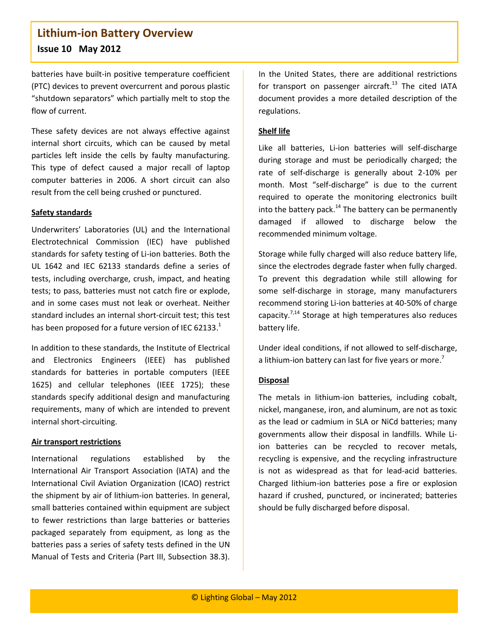batteries have built-in positive temperature coefficient (PTC) devices to prevent overcurrent and porous plastic "shutdown separators" which partially melt to stop the flow of current.

These safety devices are not always effective against internal short circuits, which can be caused by metal particles left inside the cells by faulty manufacturing. This type of defect caused a major recall of laptop computer batteries in 2006. A short circuit can also result from the cell being crushed or punctured.

#### **Safety standards**

Underwriters' Laboratories (UL) and the International Electrotechnical Commission (IEC) have published standards for safety testing of Li-ion batteries. Both the UL 1642 and IEC 62133 standards define a series of tests, including overcharge, crush, impact, and heating tests; to pass, batteries must not catch fire or explode, and in some cases must not leak or overheat. Neither standard includes an internal short-circuit test; this test has been proposed for a future version of IEC 62133. $^{1}$ 

In addition to these standards, the Institute of Electrical and Electronics Engineers (IEEE) has published standards for batteries in portable computers (IEEE 1625) and cellular telephones (IEEE 1725); these standards specify additional design and manufacturing requirements, many of which are intended to prevent internal short-circuiting.

#### **Air transport restrictions**

International regulations established by the International Air Transport Association (IATA) and the International Civil Aviation Organization (ICAO) restrict the shipment by air of lithium-ion batteries. In general, small batteries contained within equipment are subject to fewer restrictions than large batteries or batteries packaged separately from equipment, as long as the batteries pass a series of safety tests defined in the UN Manual of Tests and Criteria (Part III, Subsection 38.3).

In the United States, there are additional restrictions for transport on passenger aircraft.<sup>13</sup> The cited IATA document provides a more detailed description of the regulations.

#### **Shelf life**

Like all batteries, Li-ion batteries will self-discharge during storage and must be periodically charged; the rate of self-discharge is generally about 2-10% per month. Most "self-discharge" is due to the current required to operate the monitoring electronics built into the battery pack.<sup>14</sup> The battery can be permanently damaged if allowed to discharge below the recommended minimum voltage.

Storage while fully charged will also reduce battery life, since the electrodes degrade faster when fully charged. To prevent this degradation while still allowing for some self-discharge in storage, many manufacturers recommend storing Li-ion batteries at 40-50% of charge capacity.<sup>7,14</sup> Storage at high temperatures also reduces battery life.

Under ideal conditions, if not allowed to self-discharge, a lithium-ion battery can last for five years or more.<sup>7</sup>

#### **Disposal**

The metals in lithium-ion batteries, including cobalt, nickel, manganese, iron, and aluminum, are not as toxic as the lead or cadmium in SLA or NiCd batteries; many governments allow their disposal in landfills. While Liion batteries can be recycled to recover metals, recycling is expensive, and the recycling infrastructure is not as widespread as that for lead-acid batteries. Charged lithium-ion batteries pose a fire or explosion hazard if crushed, punctured, or incinerated; batteries should be fully discharged before disposal.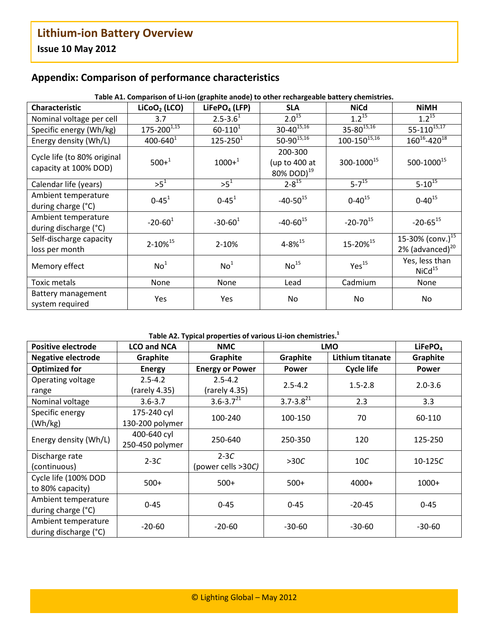# **Appendix: Comparison of performance characteristics**

| <b>Characteristic</b>                                | LiCoO <sub>2</sub> (LCO) | LiFePO <sub>4</sub> (LFP) | anoon or an long-applied anoacy to other reditargeaste sattery encritioned.<br><b>SLA</b> | <b>NiCd</b>           | <b>NiMH</b>                                           |
|------------------------------------------------------|--------------------------|---------------------------|-------------------------------------------------------------------------------------------|-----------------------|-------------------------------------------------------|
| Nominal voltage per cell                             | 3.7                      | $2.5 - 3.61$              | $2.0^{15}$                                                                                | $1.2^{\overline{15}}$ | $1.2^{15}$                                            |
| Specific energy (Wh/kg)                              | $175 - 200^{1,15}$       | $60 - 110^{1}$            | $30 - 40^{15,16}$                                                                         | $35 - 80^{15,16}$     | $55 - 110^{15,17}$                                    |
| Energy density (Wh/L)                                | $400 - 640^{1}$          | $125 - 250^1$             | $50-90^{15,16}$                                                                           | $100-150^{15,16}$     | $160^{16} - 420^{18}$                                 |
| Cycle life (to 80% original<br>capacity at 100% DOD) | $500+1$                  | $1000 +1$                 | 200-300<br>(up to 400 at<br>80% DOD) <sup>19</sup>                                        | 300-100015            | 500-100015                                            |
| Calendar life (years)                                | $>5^1$                   | $>5^1$                    | $2 - 8^{15}$                                                                              | $5 - 7^{15}$          | $5 - 10^{15}$                                         |
| Ambient temperature<br>during charge (°C)            | $0 - 45$ <sup>1</sup>    | $0 - 45$ <sup>1</sup>     | $-40-50^{15}$                                                                             | $0 - 40^{15}$         | $0 - 40^{15}$                                         |
| Ambient temperature<br>during discharge (°C)         | $-20 - 60^1$             | $-30-60^1$                | $-40-60^{15}$                                                                             | $-20-70^{15}$         | $-20 - 65^{15}$                                       |
| Self-discharge capacity<br>loss per month            | 2-10% <sup>15</sup>      | 2-10%                     | $4 - 8\%^{15}$                                                                            | 15-20% <sup>15</sup>  | 15-30% (conv.) <sup>15</sup><br>2% (advanced) $^{20}$ |
| Memory effect                                        | No <sup>1</sup>          | No <sup>1</sup>           | No <sup>15</sup>                                                                          | Yes <sup>15</sup>     | Yes, less than<br>NiCd <sup>15</sup>                  |
| Toxic metals                                         | None                     | None                      | Lead                                                                                      | Cadmium               | None                                                  |
| Battery management<br>system required                | Yes                      | Yes                       | No                                                                                        | No                    | No                                                    |

#### **Table A1. Comparison of Li-ion (graphite anode) to other rechargeable battery chemistries.**

### **Table A2. Typical properties of various Li-ion chemistries.<sup>1</sup>**

| Positive electrode        | <b>LCO and NCA</b> | <b>NMC</b>             | <b>LMO</b>       |                   | LiFePO <sub>4</sub> |
|---------------------------|--------------------|------------------------|------------------|-------------------|---------------------|
| <b>Negative electrode</b> | Graphite           | Graphite               | Graphite         | Lithium titanate  | Graphite            |
| <b>Optimized for</b>      | <b>Energy</b>      | <b>Energy or Power</b> | <b>Power</b>     | <b>Cycle life</b> | Power               |
| Operating voltage         | $2.5 - 4.2$        | $2.5 - 4.2$            | $2.5 - 4.2$      | $1.5 - 2.8$       | $2.0 - 3.6$         |
| range                     | (rarely 4.35)      | (rarely 4.35)          |                  |                   |                     |
| Nominal voltage           | $3.6 - 3.7$        | $3.6 - 3.721$          | $3.7 - 3.8^{21}$ | 2.3               | 3.3                 |
| Specific energy           | 175-240 cyl        | 100-240                | 100-150          | 70                | 60-110              |
| (Wh/kg)                   | 130-200 polymer    |                        |                  |                   |                     |
| Energy density (Wh/L)     | 400-640 cyl        | 250-640                | 250-350          | 120               | 125-250             |
|                           | 250-450 polymer    |                        |                  |                   |                     |
| Discharge rate            | $2-3C$             | $2-3C$                 | >30C             | 10C               | $10-125C$           |
| (continuous)              |                    | (power cells >30C)     |                  |                   |                     |
| Cycle life (100% DOD      | $500+$             | $500+$                 | $500+$           | 4000+             | $1000+$             |
| to 80% capacity)          |                    |                        |                  |                   |                     |
| Ambient temperature       | $0 - 45$           | $0 - 45$               | $0 - 45$         | $-20-45$          | $0 - 45$            |
| during charge (°C)        |                    |                        |                  |                   |                     |
| Ambient temperature       | $-20-60$           | $-20-60$               | $-30-60$         | $-30-60$          | $-30-60$            |
| during discharge (°C)     |                    |                        |                  |                   |                     |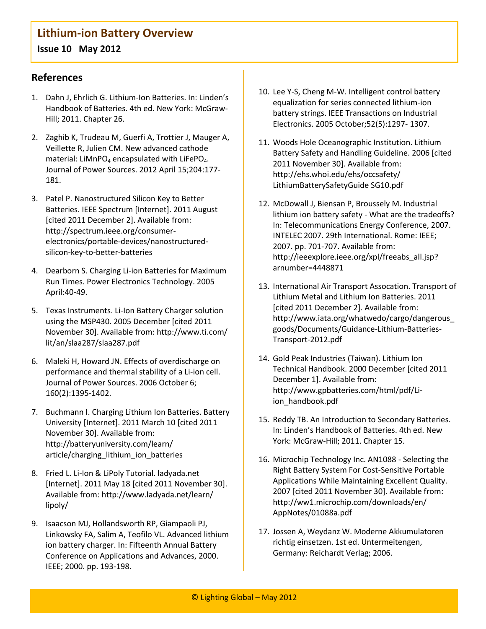### **References**

- 1. Dahn J, Ehrlich G. Lithium-Ion Batteries. In: Linden's Handbook of Batteries. 4th ed. New York: McGraw-Hill; 2011. Chapter 26.
- 2. Zaghib K, Trudeau M, Guerfi A, Trottier J, Mauger A, Veillette R, Julien CM. New advanced cathode material: LiMnPO<sub>4</sub> encapsulated with LiFePO<sub>4</sub>. Journal of Power Sources. 2012 April 15;204:177- 181.
- 3. Patel P. Nanostructured Silicon Key to Better Batteries. IEEE Spectrum [Internet]. 2011 August [cited 2011 December 2]. Available from: http://spectrum.ieee.org/consumerelectronics/portable-devices/nanostructuredsilicon-key-to-better-batteries
- 4. Dearborn S. Charging Li-ion Batteries for Maximum Run Times. Power Electronics Technology. 2005 April:40-49.
- 5. Texas Instruments. Li-Ion Battery Charger solution using the MSP430. 2005 December [cited 2011 November 30]. Available from: http://www.ti.com/ lit/an/slaa287/slaa287.pdf
- 6. Maleki H, Howard JN. Effects of overdischarge on performance and thermal stability of a Li-ion cell. Journal of Power Sources. 2006 October 6; 160(2):1395-1402.
- 7. Buchmann I. Charging Lithium Ion Batteries. Battery University [Internet]. 2011 March 10 [cited 2011 November 30]. Available from: http://batteryuniversity.com/learn/ article/charging\_lithium\_ion\_batteries
- 8. Fried L. Li-Ion & LiPoly Tutorial. ladyada.net [Internet]. 2011 May 18 [cited 2011 November 30]. Available from: http://www.ladyada.net/learn/ lipoly/
- 9. Isaacson MJ, Hollandsworth RP, Giampaoli PJ, Linkowsky FA, Salim A, Teofilo VL. Advanced lithium ion battery charger. In: Fifteenth Annual Battery Conference on Applications and Advances, 2000. IEEE; 2000. pp. 193-198.
- 10. Lee Y-S, Cheng M-W. Intelligent control battery equalization for series connected lithium-ion battery strings. IEEE Transactions on Industrial Electronics. 2005 October;52(5):1297- 1307.
- 11. Woods Hole Oceanographic Institution. Lithium Battery Safety and Handling Guideline. 2006 [cited 2011 November 30]. Available from: http://ehs.whoi.edu/ehs/occsafety/ LithiumBatterySafetyGuide SG10.pdf
- 12. McDowall J, Biensan P, Broussely M. Industrial lithium ion battery safety - What are the tradeoffs? In: Telecommunications Energy Conference, 2007. INTELEC 2007. 29th International. Rome: IEEE; 2007. pp. 701-707. Available from: http://ieeexplore.ieee.org/xpl/freeabs\_all.jsp? arnumber=4448871
- 13. International Air Transport Assocation. Transport of Lithium Metal and Lithium Ion Batteries. 2011 [cited 2011 December 2]. Available from: http://www.iata.org/whatwedo/cargo/dangerous\_ goods/Documents/Guidance-Lithium-Batteries-Transport-2012.pdf
- 14. Gold Peak Industries (Taiwan). Lithium Ion Technical Handbook. 2000 December [cited 2011 December 1]. Available from: http://www.gpbatteries.com/html/pdf/Liion\_handbook.pdf
- 15. Reddy TB. An Introduction to Secondary Batteries. In: Linden's Handbook of Batteries. 4th ed. New York: McGraw-Hill; 2011. Chapter 15.
- 16. Microchip Technology Inc. AN1088 Selecting the Right Battery System For Cost-Sensitive Portable Applications While Maintaining Excellent Quality. 2007 [cited 2011 November 30]. Available from: http://ww1.microchip.com/downloads/en/ AppNotes/01088a.pdf
- 17. Jossen A, Weydanz W. Moderne Akkumulatoren richtig einsetzen. 1st ed. Untermeitengen, Germany: Reichardt Verlag; 2006.